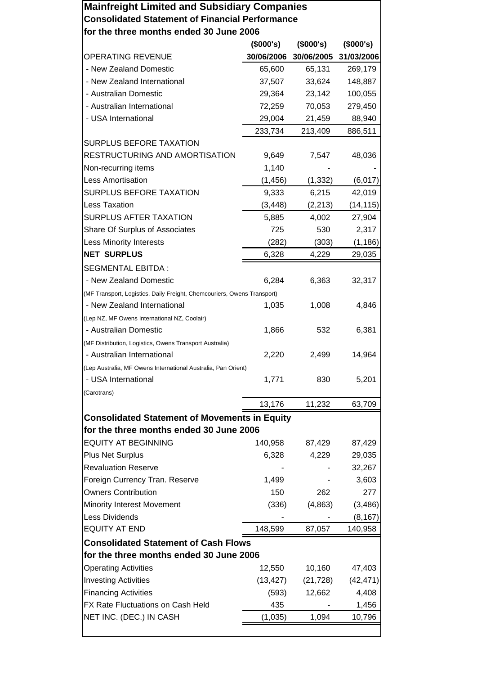| <b>Mainfreight Limited and Subsidiary Companies</b>                                                    |            |            |            |  |
|--------------------------------------------------------------------------------------------------------|------------|------------|------------|--|
| <b>Consolidated Statement of Financial Performance</b>                                                 |            |            |            |  |
| for the three months ended 30 June 2006                                                                |            |            |            |  |
|                                                                                                        | (\$000's)  | (\$000's)  | (\$000's)  |  |
| <b>OPERATING REVENUE</b>                                                                               | 30/06/2006 | 30/06/2005 | 31/03/2006 |  |
| - New Zealand Domestic                                                                                 | 65,600     | 65,131     | 269,179    |  |
| - New Zealand International                                                                            | 37,507     | 33,624     | 148,887    |  |
| - Australian Domestic                                                                                  | 29,364     | 23,142     | 100,055    |  |
| - Australian International                                                                             | 72,259     | 70,053     | 279,450    |  |
| - USA International                                                                                    | 29,004     | 21,459     | 88,940     |  |
|                                                                                                        | 233,734    | 213,409    | 886,511    |  |
| <b>SURPLUS BEFORE TAXATION</b>                                                                         |            |            |            |  |
| RESTRUCTURING AND AMORTISATION                                                                         | 9,649      | 7,547      | 48,036     |  |
| Non-recurring items                                                                                    | 1,140      |            |            |  |
| <b>Less Amortisation</b>                                                                               | (1, 456)   | (1, 332)   | (6,017)    |  |
| <b>SURPLUS BEFORE TAXATION</b>                                                                         | 9,333      | 6,215      | 42,019     |  |
| <b>Less Taxation</b>                                                                                   | (3, 448)   | (2, 213)   | (14, 115)  |  |
| <b>SURPLUS AFTER TAXATION</b>                                                                          | 5,885      | 4,002      | 27,904     |  |
| Share Of Surplus of Associates                                                                         | 725        | 530        | 2,317      |  |
| <b>Less Minority Interests</b>                                                                         | (282)      | (303)      | (1, 186)   |  |
| <b>NET SURPLUS</b>                                                                                     | 6,328      | 4,229      | 29,035     |  |
| <b>SEGMENTAL EBITDA:</b>                                                                               |            |            |            |  |
| - New Zealand Domestic                                                                                 | 6,284      | 6,363      | 32,317     |  |
|                                                                                                        |            |            |            |  |
| (MF Transport, Logistics, Daily Freight, Chemcouriers, Owens Transport)<br>- New Zealand International | 1,035      | 1,008      | 4,846      |  |
| (Lep NZ, MF Owens International NZ, Coolair)                                                           |            |            |            |  |
| - Australian Domestic                                                                                  |            | 532        | 6,381      |  |
|                                                                                                        | 1,866      |            |            |  |
| (MF Distribution, Logistics, Owens Transport Australia)<br>- Australian International                  | 2,220      | 2,499      | 14,964     |  |
|                                                                                                        |            |            |            |  |
| (Lep Australia, MF Owens International Australia, Pan Orient)<br>- USA International                   | 1,771      | 830        | 5,201      |  |
|                                                                                                        |            |            |            |  |
| (Carotrans)                                                                                            | 13,176     |            | 63,709     |  |
|                                                                                                        |            | 11,232     |            |  |
| <b>Consolidated Statement of Movements in Equity</b>                                                   |            |            |            |  |
| for the three months ended 30 June 2006                                                                |            |            |            |  |
| <b>EQUITY AT BEGINNING</b>                                                                             | 140,958    | 87,429     | 87,429     |  |
| <b>Plus Net Surplus</b>                                                                                | 6,328      | 4,229      | 29,035     |  |
| <b>Revaluation Reserve</b>                                                                             |            |            | 32,267     |  |
| Foreign Currency Tran. Reserve                                                                         | 1,499      |            | 3,603      |  |
| <b>Owners Contribution</b>                                                                             | 150        | 262        | 277        |  |
| Minority Interest Movement                                                                             | (336)      | (4,863)    | (3, 486)   |  |
| Less Dividends                                                                                         |            |            | (8, 167)   |  |
| <b>EQUITY AT END</b>                                                                                   | 148,599    | 87,057     | 140,958    |  |
| <b>Consolidated Statement of Cash Flows</b>                                                            |            |            |            |  |
| for the three months ended 30 June 2006                                                                |            |            |            |  |
| <b>Operating Activities</b>                                                                            | 12,550     | 10,160     | 47,403     |  |
| <b>Investing Activities</b>                                                                            | (13, 427)  | (21, 728)  | (42, 471)  |  |
| <b>Financing Activities</b>                                                                            | (593)      | 12,662     | 4,408      |  |
| FX Rate Fluctuations on Cash Held                                                                      | 435        |            | 1,456      |  |
| NET INC. (DEC.) IN CASH                                                                                | (1,035)    | 1,094      | 10,796     |  |
|                                                                                                        |            |            |            |  |